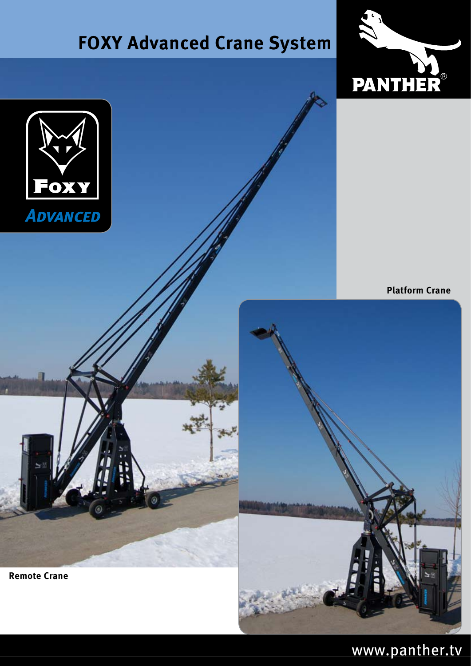## **FOXY Advanced Crane System FOXY Advanced Crane System**





**Platform Crane**



**Remote Crane**

### www.panther.tv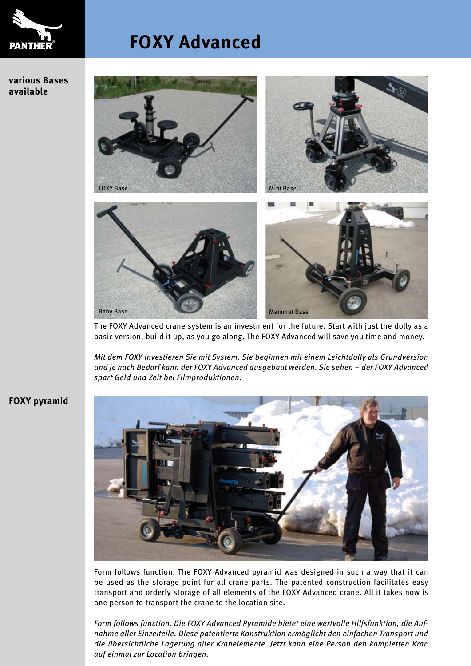

**various Bases available**

## **FOXY Advanced FOXY Advanced**



The FOXY Advanced crane system is an investment for the future. Start with just the dolly as a basic version, build it up, as you go along. The FOXY Advanced will save you time and money.

*Mit dem FOXY investieren Sie mit System. Sie beginnen mit einem Leichtdolly als Grundversion und je nach Bedarf kann der FOXY Advanced ausgebaut werden. Sie sehen – der FOXY Advanced spart Geld und Zeit bei Filmproduktionen.*

#### **FOXY pyramid**



Form follows function. The FOXY Advanced pyramid was designed in such a way that it can be used as the storage point for all crane parts. The patented construction facilitates easy transport and orderly storage of all elements of the FOXY Advanced crane. All it takes now is one person to transport the crane to the location site.

*Form follows function. Die FOXY Advanced Pyramide bietet eine wertvolle Hilfsfunktion, die Aufnahme aller Einzelteile. Diese patentierte Konstruktion ermöglicht den einfachen Transport und die übersichtliche Lagerung aller Kranelemente. Jetzt kann eine Person den kompletten Kran auf einmal zur Location bringen.*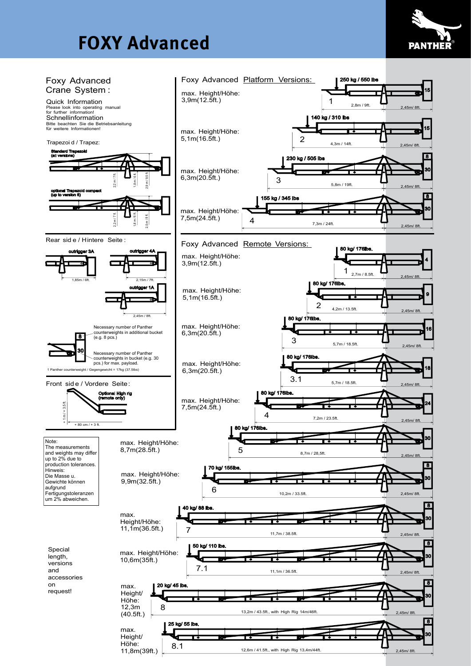# **FOXY Advanced FOXY Advanced**